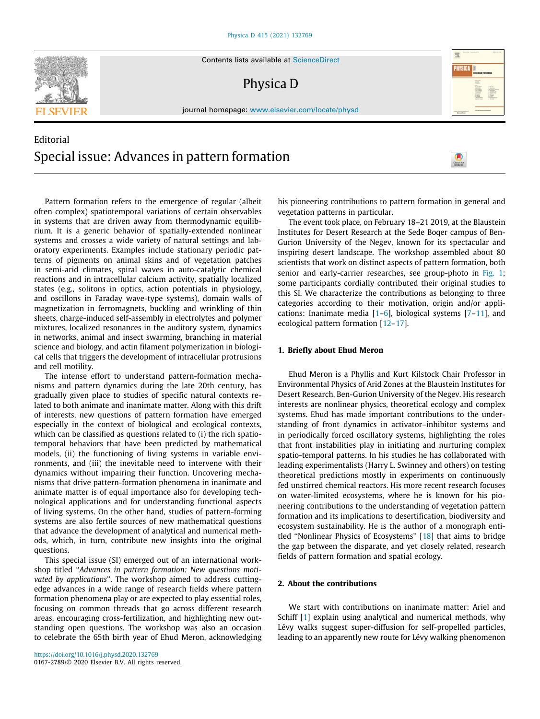

Contents lists available at [ScienceDirect](http://www.elsevier.com/locate/physd)

## Physica D

journal homepage: [www.elsevier.com/locate/physd](http://www.elsevier.com/locate/physd)

# Editorial Special issue: Advances in pattern formation



Pattern formation refers to the emergence of regular (albeit often complex) spatiotemporal variations of certain observables in systems that are driven away from thermodynamic equilibrium. It is a generic behavior of spatially-extended nonlinear systems and crosses a wide variety of natural settings and laboratory experiments. Examples include stationary periodic patterns of pigments on animal skins and of vegetation patches in semi-arid climates, spiral waves in auto-catalytic chemical reactions and in intracellular calcium activity, spatially localized states (e.g., solitons in optics, action potentials in physiology, and oscillons in Faraday wave-type systems), domain walls of magnetization in ferromagnets, buckling and wrinkling of thin sheets, charge-induced self-assembly in electrolytes and polymer mixtures, localized resonances in the auditory system, dynamics in networks, animal and insect swarming, branching in material science and biology, and actin filament polymerization in biological cells that triggers the development of intracellular protrusions and cell motility.

The intense effort to understand pattern-formation mechanisms and pattern dynamics during the late 20th century, has gradually given place to studies of specific natural contexts related to both animate and inanimate matter. Along with this drift of interests, new questions of pattern formation have emerged especially in the context of biological and ecological contexts, which can be classified as questions related to (i) the rich spatiotemporal behaviors that have been predicted by mathematical models, (ii) the functioning of living systems in variable environments, and (iii) the inevitable need to intervene with their dynamics without impairing their function. Uncovering mechanisms that drive pattern-formation phenomena in inanimate and animate matter is of equal importance also for developing technological applications and for understanding functional aspects of living systems. On the other hand, studies of pattern-forming systems are also fertile sources of new mathematical questions that advance the development of analytical and numerical methods, which, in turn, contribute new insights into the original questions.

This special issue (SI) emerged out of an international workshop titled ''*Advances in pattern formation: New questions motivated by applications*''. The workshop aimed to address cuttingedge advances in a wide range of research fields where pattern formation phenomena play or are expected to play essential roles, focusing on common threads that go across different research areas, encouraging cross-fertilization, and highlighting new outstanding open questions. The workshop was also an occasion to celebrate the 65th birth year of Ehud Meron, acknowledging

his pioneering contributions to pattern formation in general and vegetation patterns in particular.

The event took place, on February 18–21 2019, at the Blaustein Institutes for Desert Research at the Sede Boqer campus of Ben-Gurion University of the Negev, known for its spectacular and inspiring desert landscape. The workshop assembled about 80 scientists that work on distinct aspects of pattern formation, both senior and early-carrier researches, see group-photo in [Fig.](#page-1-0) [1;](#page-1-0) some participants cordially contributed their original studies to this SI. We characterize the contributions as belonging to three categories according to their motivation, origin and/or applications: Inanimate media  $[1-6]$  $[1-6]$  $[1-6]$ , biological systems  $[7-11]$  $[7-11]$ , and ecological pattern formation [\[12–](#page-2-4)[17](#page-2-5)].

### **1. Briefly about Ehud Meron**

Ehud Meron is a Phyllis and Kurt Kilstock Chair Professor in Environmental Physics of Arid Zones at the Blaustein Institutes for Desert Research, Ben-Gurion University of the Negev. His research interests are nonlinear physics, theoretical ecology and complex systems. Ehud has made important contributions to the understanding of front dynamics in activator–inhibitor systems and in periodically forced oscillatory systems, highlighting the roles that front instabilities play in initiating and nurturing complex spatio-temporal patterns. In his studies he has collaborated with leading experimentalists (Harry L. Swinney and others) on testing theoretical predictions mostly in experiments on continuously fed unstirred chemical reactors. His more recent research focuses on water-limited ecosystems, where he is known for his pioneering contributions to the understanding of vegetation pattern formation and its implications to desertification, biodiversity and ecosystem sustainability. He is the author of a monograph entitled ''Nonlinear Physics of Ecosystems'' [\[18\]](#page-2-6) that aims to bridge the gap between the disparate, and yet closely related, research fields of pattern formation and spatial ecology.

## **2. About the contributions**

We start with contributions on inanimate matter: Ariel and Schiff [\[1](#page-2-0)] explain using analytical and numerical methods, why Lévy walks suggest super-diffusion for self-propelled particles, leading to an apparently new route for Lévy walking phenomenon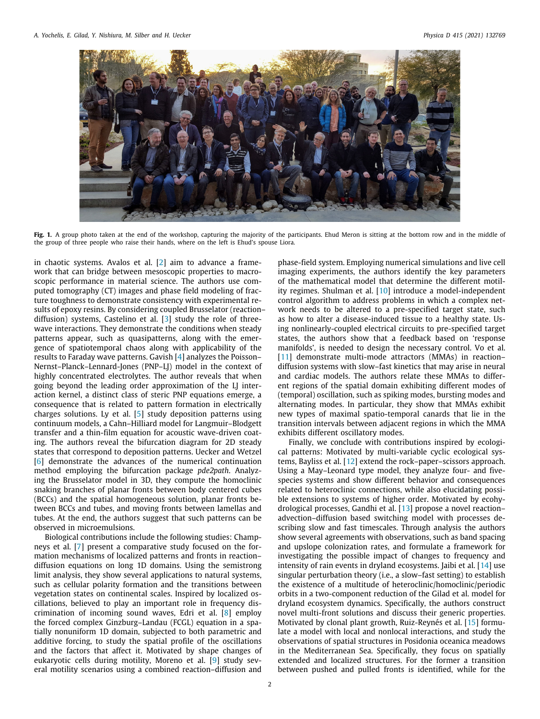

Fig. 1. A group photo taken at the end of the workshop, capturing the majority of the participants. Ehud Meron is sitting at the bottom row and in the middle of the group of three people who raise their hands, where on the left is Ehud's spouse Liora.

<span id="page-1-0"></span>in chaotic systems. Avalos et al. [[2](#page-2-7)] aim to advance a framework that can bridge between mesoscopic properties to macroscopic performance in material science. The authors use computed tomography (CT) images and phase field modeling of fracture toughness to demonstrate consistency with experimental results of epoxy resins. By considering coupled Brusselator (reaction– diffusion) systems, Castelino et al. [\[3](#page-2-8)] study the role of threewave interactions. They demonstrate the conditions when steady patterns appear, such as quasipatterns, along with the emergence of spatiotemporal chaos along with applicability of the results to Faraday wave patterns. Gavish [[4\]](#page-2-9) analyzes the Poisson– Nernst–Planck–Lennard-Jones (PNP–LJ) model in the context of highly concentrated electrolytes. The author reveals that when going beyond the leading order approximation of the LJ interaction kernel, a distinct class of steric PNP equations emerge, a consequence that is related to pattern formation in electrically charges solutions. Ly et al. [[5\]](#page-2-10) study deposition patterns using continuum models, a Cahn–Hilliard model for Langmuir–Blodgett transfer and a thin-film equation for acoustic wave-driven coating. The authors reveal the bifurcation diagram for 2D steady states that correspond to deposition patterns. Uecker and Wetzel [[6](#page-2-1)] demonstrate the advances of the numerical continuation method employing the bifurcation package *pde2path*. Analyzing the Brusselator model in 3D, they compute the homoclinic snaking branches of planar fronts between body centered cubes (BCCs) and the spatial homogeneous solution, planar fronts between BCCs and tubes, and moving fronts between lamellas and tubes. At the end, the authors suggest that such patterns can be observed in microemulsions.

Biological contributions include the following studies: Champneys et al. [[7\]](#page-2-2) present a comparative study focused on the formation mechanisms of localized patterns and fronts in reaction– diffusion equations on long 1D domains. Using the semistrong limit analysis, they show several applications to natural systems, such as cellular polarity formation and the transitions between vegetation states on continental scales. Inspired by localized oscillations, believed to play an important role in frequency discrimination of incoming sound waves, Edri et al. [\[8](#page-2-11)] employ the forced complex Ginzburg–Landau (FCGL) equation in a spatially nonuniform 1D domain, subjected to both parametric and additive forcing, to study the spatial profile of the oscillations and the factors that affect it. Motivated by shape changes of eukaryotic cells during motility, Moreno et al. [\[9](#page-2-12)] study several motility scenarios using a combined reaction–diffusion and

phase-field system. Employing numerical simulations and live cell imaging experiments, the authors identify the key parameters of the mathematical model that determine the different motility regimes. Shulman et al. [\[10\]](#page-2-13) introduce a model-independent control algorithm to address problems in which a complex network needs to be altered to a pre-specified target state, such as how to alter a disease-induced tissue to a healthy state. Using nonlinearly-coupled electrical circuits to pre-specified target states, the authors show that a feedback based on 'response manifolds', is needed to design the necessary control. Vo et al. [[11](#page-2-3)] demonstrate multi-mode attractors (MMAs) in reactiondiffusion systems with slow–fast kinetics that may arise in neural and cardiac models. The authors relate these MMAs to different regions of the spatial domain exhibiting different modes of (temporal) oscillation, such as spiking modes, bursting modes and alternating modes. In particular, they show that MMAs exhibit new types of maximal spatio-temporal canards that lie in the transition intervals between adjacent regions in which the MMA exhibits different oscillatory modes.

Finally, we conclude with contributions inspired by ecological patterns: Motivated by multi-variable cyclic ecological systems, Bayliss et al. [[12\]](#page-2-4) extend the rock–paper–scissors approach. Using a May–Leonard type model, they analyze four- and fivespecies systems and show different behavior and consequences related to heteroclinic connections, while also elucidating possible extensions to systems of higher order. Motivated by ecohydrological processes, Gandhi et al. [[13](#page-2-14)] propose a novel reaction– advection–diffusion based switching model with processes describing slow and fast timescales. Through analysis the authors show several agreements with observations, such as band spacing and upslope colonization rates, and formulate a framework for investigating the possible impact of changes to frequency and intensity of rain events in dryland ecosystems. Jaibi et al. [[14](#page-2-15)] use singular perturbation theory (i.e., a slow–fast setting) to establish the existence of a multitude of heteroclinic/homoclinic/periodic orbits in a two-component reduction of the Gilad et al. model for dryland ecosystem dynamics. Specifically, the authors construct novel multi-front solutions and discuss their generic properties. Motivated by clonal plant growth, Ruiz-Reynés et al. [\[15](#page-2-16)] formulate a model with local and nonlocal interactions, and study the observations of spatial structures in Posidonia oceanica meadows in the Mediterranean Sea. Specifically, they focus on spatially extended and localized structures. For the former a transition between pushed and pulled fronts is identified, while for the